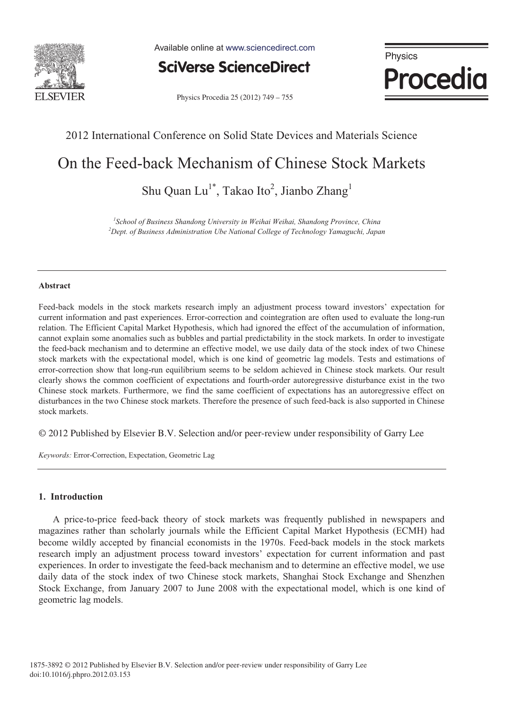

Available online at www.sciencedirect.com

**SciVerse ScienceDirect** 

Physics **Procedia** 

Physics Procedia 25 (2012) 749 - 755

## 2012 International Conference on Solid State Devices and Materials Science

# On the Feed-back Mechanism of Chinese Stock Markets

Shu Quan Lu<sup>1\*</sup>, Takao Ito<sup>2</sup>, Jianbo Zhang<sup>1</sup>

<sup>1</sup> School of Business Shandong University in Weihai Weihai, Shandong Province, China<br><sup>2</sup> Dant of Business Administration Uhe National Collage of Technology Yamaguchi, Iana *Dept. of Business Administration Ube National College of Technology Yamaguchi, Japan* 

### **Abstract**

Feed-back models in the stock markets research imply an adjustment process toward investors' expectation for current information and past experiences. Error-correction and cointegration are often used to evaluate the long-run relation. The Efficient Capital Market Hypothesis, which had ignored the effect of the accumulation of information, cannot explain some anomalies such as bubbles and partial predictability in the stock markets. In order to investigate the feed-back mechanism and to determine an effective model, we use daily data of the stock index of two Chinese stock markets with the expectational model, which is one kind of geometric lag models. Tests and estimations of error-correction show that long-run equilibrium seems to be seldom achieved in Chinese stock markets. Our result clearly shows the common coefficient of expectations and fourth-order autoregressive disturbance exist in the two Chinese stock markets. Furthermore, we find the same coefficient of expectations has an autoregressive effect on disturbances in the two Chinese stock markets. Therefore the presence of such feed-back is also supported in Chinese stock markets.

© 2012 Published by Elsevier B.V. Selection and/or peer-review under responsibility of Garry Lee

*Keywords:* Error-Correction, Expectation, Geometric Lag

### **1. Introduction**

A price-to-price feed-back theory of stock markets was frequently published in newspapers and magazines rather than scholarly journals while the Efficient Capital Market Hypothesis (ECMH) had become wildly accepted by financial economists in the 1970s. Feed-back models in the stock markets research imply an adjustment process toward investors' expectation for current information and past experiences. In order to investigate the feed-back mechanism and to determine an effective model, we use daily data of the stock index of two Chinese stock markets, Shanghai Stock Exchange and Shenzhen Stock Exchange, from January 2007 to June 2008 with the expectational model, which is one kind of geometric lag models.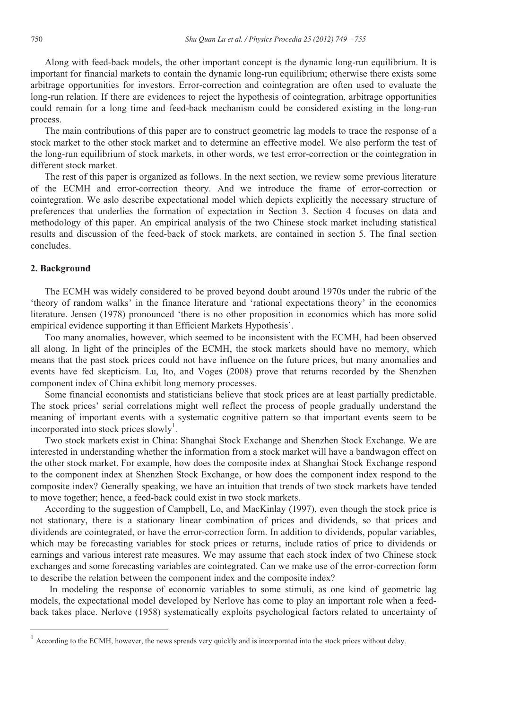Along with feed-back models, the other important concept is the dynamic long-run equilibrium. It is important for financial markets to contain the dynamic long-run equilibrium; otherwise there exists some arbitrage opportunities for investors. Error-correction and cointegration are often used to evaluate the long-run relation. If there are evidences to reject the hypothesis of cointegration, arbitrage opportunities could remain for a long time and feed-back mechanism could be considered existing in the long-run process.

The main contributions of this paper are to construct geometric lag models to trace the response of a stock market to the other stock market and to determine an effective model. We also perform the test of the long-run equilibrium of stock markets, in other words, we test error-correction or the cointegration in different stock market.

The rest of this paper is organized as follows. In the next section, we review some previous literature of the ECMH and error-correction theory. And we introduce the frame of error-correction or cointegration. We aslo describe expectational model which depicts explicitly the necessary structure of preferences that underlies the formation of expectation in Section 3. Section 4 focuses on data and methodology of this paper. An empirical analysis of the two Chinese stock market including statistical results and discussion of the feed-back of stock markets, are contained in section 5. The final section concludes.

### **2. Background**

 $\overline{a}$ 

The ECMH was widely considered to be proved beyond doubt around 1970s under the rubric of the 'theory of random walks' in the finance literature and 'rational expectations theory' in the economics literature. Jensen (1978) pronounced 'there is no other proposition in economics which has more solid empirical evidence supporting it than Efficient Markets Hypothesis'.

Too many anomalies, however, which seemed to be inconsistent with the ECMH, had been observed all along. In light of the principles of the ECMH, the stock markets should have no memory, which means that the past stock prices could not have influence on the future prices, but many anomalies and events have fed skepticism. Lu, Ito, and Voges (2008) prove that returns recorded by the Shenzhen component index of China exhibit long memory processes.

Some financial economists and statisticians believe that stock prices are at least partially predictable. The stock prices' serial correlations might well reflect the process of people gradually understand the meaning of important events with a systematic cognitive pattern so that important events seem to be incorporated into stock prices slowly<sup>1</sup>.

Two stock markets exist in China: Shanghai Stock Exchange and Shenzhen Stock Exchange. We are interested in understanding whether the information from a stock market will have a bandwagon effect on the other stock market. For example, how does the composite index at Shanghai Stock Exchange respond to the component index at Shenzhen Stock Exchange, or how does the component index respond to the composite index? Generally speaking, we have an intuition that trends of two stock markets have tended to move together; hence, a feed-back could exist in two stock markets.

According to the suggestion of Campbell, Lo, and MacKinlay (1997), even though the stock price is not stationary, there is a stationary linear combination of prices and dividends, so that prices and dividends are cointegrated, or have the error-correction form. In addition to dividends, popular variables, which may be forecasting variables for stock prices or returns, include ratios of price to dividends or earnings and various interest rate measures. We may assume that each stock index of two Chinese stock exchanges and some forecasting variables are cointegrated. Can we make use of the error-correction form to describe the relation between the component index and the composite index?

In modeling the response of economic variables to some stimuli, as one kind of geometric lag models, the expectational model developed by Nerlove has come to play an important role when a feedback takes place. Nerlove (1958) systematically exploits psychological factors related to uncertainty of

<sup>1</sup> According to the ECMH, however, the news spreads very quickly and is incorporated into the stock prices without delay.